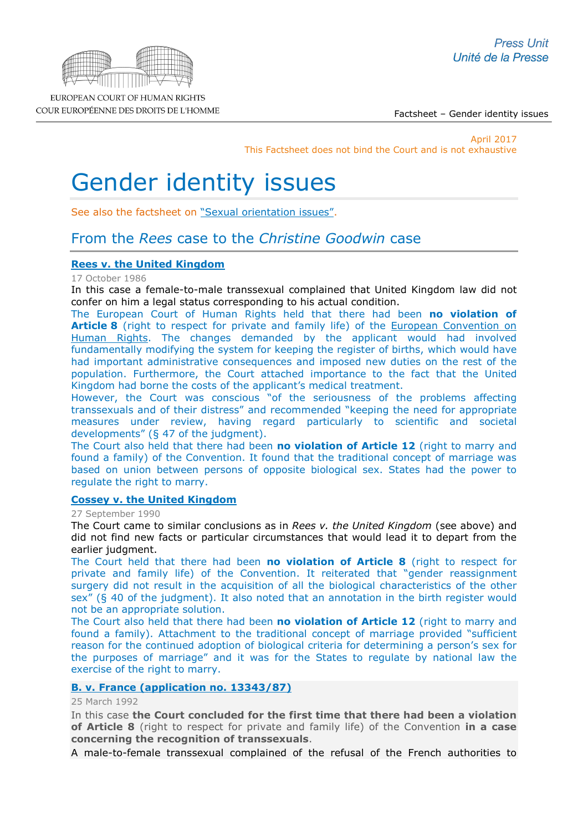Factsheet – Gender identity issues

April 2017 This Factsheet does not bind the Court and is not exhaustive

# Gender identity issues

See also the factsheet on ["Sexual orientation issues".](http://www.echr.coe.int/Documents/FS_Sexual_orientation_ENG.pdf)

# From the *Rees* case to the *Christine Goodwin* case

# **[Rees v. the United Kingdom](http://cmiskp.echr.coe.int/tkp197/view.asp?action=html&documentId=695441&portal=hbkm&source=externalbydocnumber&table=F69A27FD8FB86142BF01C1166DEA398649)**

#### 17 October 1986

In this case a female-to-male transsexual complained that United Kingdom law did not confer on him a legal status corresponding to his actual condition.

The European Court of Human Rights held that there had been **no violation of Article 8** (right to respect for private and family life) of the European Convention on [Human Rights.](http://www.echr.coe.int/Documents/Convention_ENG.pdf) The changes demanded by the applicant would had involved fundamentally modifying the system for keeping the register of births, which would have had important administrative consequences and imposed new duties on the rest of the population. Furthermore, the Court attached importance to the fact that the United Kingdom had borne the costs of the applicant's medical treatment.

However, the Court was conscious "of the seriousness of the problems affecting transsexuals and of their distress" and recommended "keeping the need for appropriate measures under review, having regard particularly to scientific and societal developments" (§ 47 of the judgment).

The Court also held that there had been **no violation of Article 12** (right to marry and found a family) of the Convention. It found that the traditional concept of marriage was based on union between persons of opposite biological sex. States had the power to regulate the right to marry.

#### **[Cossey v. the United Kingdom](http://hudoc.echr.coe.int/eng?i=001-57641)**

27 September 1990

The Court came to similar conclusions as in *Rees v. the United Kingdom* (see above) and did not find new facts or particular circumstances that would lead it to depart from the earlier judgment.

The Court held that there had been **no violation of Article 8** (right to respect for private and family life) of the Convention. It reiterated that "gender reassignment surgery did not result in the acquisition of all the biological characteristics of the other sex" (§ 40 of the judgment). It also noted that an annotation in the birth register would not be an appropriate solution.

The Court also held that there had been **no violation of Article 12** (right to marry and found a family). Attachment to the traditional concept of marriage provided "sufficient reason for the continued adoption of biological criteria for determining a person's sex for the purposes of marriage" and it was for the States to regulate by national law the exercise of the right to marry.

# **B. v. France [\(application no. 13343/87\)](http://hudoc.echr.coe.int/eng?i=001-57770)**

25 March 1992

In this case **the Court concluded for the first time that there had been a violation of Article 8** (right to respect for private and family life) of the Convention **in a case concerning the recognition of transsexuals**.

A male-to-female transsexual complained of the refusal of the French authorities to

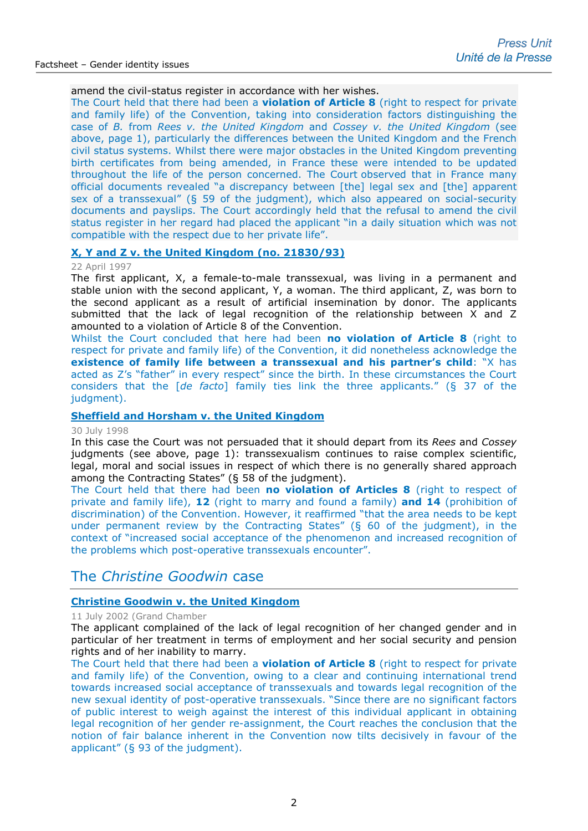## amend the civil-status register in accordance with her wishes.

The Court held that there had been a **violation of Article 8** (right to respect for private and family life) of the Convention, taking into consideration factors distinguishing the case of *B.* from *Rees v. the United Kingdom* and *Cossey v. the United Kingdom* (see above, page 1), particularly the differences between the United Kingdom and the French civil status systems. Whilst there were major obstacles in the United Kingdom preventing birth certificates from being amended, in France these were intended to be updated throughout the life of the person concerned. The Court observed that in France many official documents revealed "a discrepancy between [the] legal sex and [the] apparent sex of a transsexual" (§ 59 of the judgment), which also appeared on social-security documents and payslips. The Court accordingly held that the refusal to amend the civil status register in her regard had placed the applicant "in a daily situation which was not compatible with the respect due to her private life".

#### **X, Y and [Z v. the United Kingdom \(no. 21830/93\)](http://hudoc.echr.coe.int/eng?i=001-58032)**

#### 22 April 1997

The first applicant, X, a female-to-male transsexual, was living in a permanent and stable union with the second applicant, Y, a woman. The third applicant, Z, was born to the second applicant as a result of artificial insemination by donor. The applicants submitted that the lack of legal recognition of the relationship between X and Z amounted to a violation of Article 8 of the Convention.

Whilst the Court concluded that here had been **no violation of Article 8** (right to respect for private and family life) of the Convention, it did nonetheless acknowledge the **existence of family life between a transsexual and his partner's child:** "X has acted as Z's "father" in every respect" since the birth. In these circumstances the Court considers that the [*de facto*] family ties link the three applicants." (§ 37 of the judgment).

#### **[Sheffield and Horsham](http://hudoc.echr.coe.int/eng?i=001-58212) v. the United Kingdom**

#### 30 July 1998

In this case the Court was not persuaded that it should depart from its *Rees* and *Cossey*  judgments (see above, page 1): transsexualism continues to raise complex scientific, legal, moral and social issues in respect of which there is no generally shared approach among the Contracting States" (§ 58 of the judgment).

The Court held that there had been **no violation of Articles 8** (right to respect of private and family life), **12** (right to marry and found a family) **and 14** (prohibition of discrimination) of the Convention. However, it reaffirmed "that the area needs to be kept under permanent review by the Contracting States" (§ 60 of the judgment), in the context of "increased social acceptance of the phenomenon and increased recognition of the problems which post-operative transsexuals encounter".

# The *Christine Goodwin* case

# **[Christine Goodwin v. the United Kingdom](http://hudoc.echr.coe.int/sites/eng-press/pages/search.aspx?i=003-585597-589247)**

#### 11 July 2002 (Grand Chamber

The applicant complained of the lack of legal recognition of her changed gender and in particular of her treatment in terms of employment and her social security and pension rights and of her inability to marry.

The Court held that there had been a **violation of Article 8** (right to respect for private and family life) of the Convention, owing to a clear and continuing international trend towards increased social acceptance of transsexuals and towards legal recognition of the new sexual identity of post-operative transsexuals. "Since there are no significant factors of public interest to weigh against the interest of this individual applicant in obtaining legal recognition of her gender re-assignment, the Court reaches the conclusion that the notion of fair balance inherent in the Convention now tilts decisively in favour of the applicant" (§ 93 of the judgment).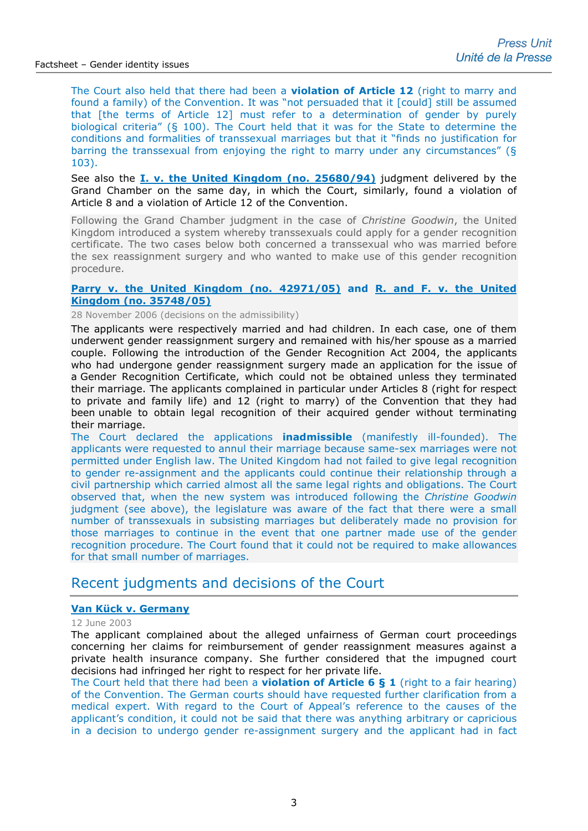The Court also held that there had been a **violation of Article 12** (right to marry and found a family) of the Convention. It was "not persuaded that it [could] still be assumed that [the terms of Article 12] must refer to a determination of gender by purely biological criteria" (§ 100). The Court held that it was for the State to determine the conditions and formalities of transsexual marriages but that it "finds no justification for barring the transsexual from enjoying the right to marry under any circumstances" (§ 103).

See also the **[I. v. the United Kingdom \(no. 25680/94\)](http://hudoc.echr.coe.int/sites/eng/pages/search.aspx?i=003-585782-589432)** judgment delivered by the Grand Chamber on the same day, in which the Court, similarly, found a violation of Article 8 and a violation of Article 12 of the Convention.

Following the Grand Chamber judgment in the case of *Christine Goodwin*, the United Kingdom introduced a system whereby transsexuals could apply for a gender recognition certificate. The two cases below both concerned a transsexual who was married before the sex reassignment surgery and who wanted to make use of this gender recognition procedure.

## **[Parry v. the United Kingdom](http://cmiskp.echr.coe.int/tkp197/view.asp?action=html&documentId=812256&portal=hbkm&source=externalbydocnumber&table=F69A27FD8FB86142BF01C1166DEA398649) (no. 42971/05) and [R. and F. v. the United](http://cmiskp.echr.coe.int/tkp197/view.asp?action=html&documentId=812230&portal=hbkm&source=externalbydocnumber&table=F69A27FD8FB86142BF01C1166DEA398649)  [Kingdom](http://cmiskp.echr.coe.int/tkp197/view.asp?action=html&documentId=812230&portal=hbkm&source=externalbydocnumber&table=F69A27FD8FB86142BF01C1166DEA398649) (no. 35748/05)**

28 November 2006 (decisions on the admissibility)

The applicants were respectively married and had children. In each case, one of them underwent gender reassignment surgery and remained with his/her spouse as a married couple. Following the introduction of the Gender Recognition Act 2004, the applicants who had undergone gender reassignment surgery made an application for the issue of a Gender Recognition Certificate, which could not be obtained unless they terminated their marriage. The applicants complained in particular under Articles 8 (right for respect to private and family life) and 12 (right to marry) of the Convention that they had been unable to obtain legal recognition of their acquired gender without terminating their marriage.

The Court declared the applications **inadmissible** (manifestly ill-founded). The applicants were requested to annul their marriage because same-sex marriages were not permitted under English law. The United Kingdom had not failed to give legal recognition to gender re-assignment and the applicants could continue their relationship through a civil partnership which carried almost all the same legal rights and obligations. The Court observed that, when the new system was introduced following the *Christine Goodwin* judgment (see above), the legislature was aware of the fact that there were a small number of transsexuals in subsisting marriages but deliberately made no provision for those marriages to continue in the event that one partner made use of the gender recognition procedure. The Court found that it could not be required to make allowances for that small number of marriages.

# Recent judgments and decisions of the Court

# **[Van Kück v. Germany](http://hudoc.echr.coe.int/sites/eng/pages/search.aspx?i=001-61142)**

12 June 2003

The applicant complained about the alleged unfairness of German court proceedings concerning her claims for reimbursement of gender reassignment measures against a private health insurance company. She further considered that the impugned court decisions had infringed her right to respect for her private life.

The Court held that there had been a **violation of Article 6 § 1** (right to a fair hearing) of the Convention. The German courts should have requested further clarification from a medical expert. With regard to the Court of Appeal's reference to the causes of the applicant's condition, it could not be said that there was anything arbitrary or capricious in a decision to undergo gender re-assignment surgery and the applicant had in fact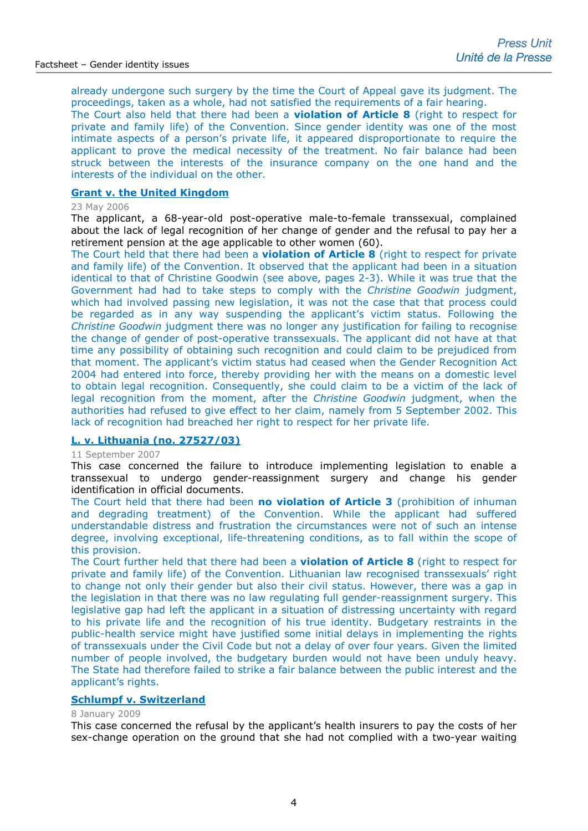already undergone such surgery by the time the Court of Appeal gave its judgment. The proceedings, taken as a whole, had not satisfied the requirements of a fair hearing.

The Court also held that there had been a **violation of Article 8** (right to respect for private and family life) of the Convention. Since gender identity was one of the most intimate aspects of a person's private life, it appeared disproportionate to require the applicant to prove the medical necessity of the treatment. No fair balance had been struck between the interests of the insurance company on the one hand and the interests of the individual on the other.

# **[Grant v. the United Kingdom](http://hudoc.echr.coe.int/sites/eng/pages/search.aspx?i=003-1674922-1755206)**

#### 23 May 2006

The applicant, a 68-year-old post-operative male-to-female transsexual, complained about the lack of legal recognition of her change of gender and the refusal to pay her a retirement pension at the age applicable to other women (60).

The Court held that there had been a **violation of Article 8** (right to respect for private and family life) of the Convention. It observed that the applicant had been in a situation identical to that of Christine Goodwin (see above, pages 2-3). While it was true that the Government had had to take steps to comply with the *Christine Goodwin* judgment, which had involved passing new legislation, it was not the case that that process could be regarded as in any way suspending the applicant's victim status. Following the *Christine Goodwin* judgment there was no longer any justification for failing to recognise the change of gender of post-operative transsexuals. The applicant did not have at that time any possibility of obtaining such recognition and could claim to be prejudiced from that moment. The applicant's victim status had ceased when the Gender Recognition Act 2004 had entered into force, thereby providing her with the means on a domestic level to obtain legal recognition. Consequently, she could claim to be a victim of the lack of legal recognition from the moment, after the *Christine Goodwin* judgment, when the authorities had refused to give effect to her claim, namely from 5 September 2002. This lack of recognition had breached her right to respect for her private life.

#### **[L. v. Lithuania \(no. 27527/03\)](http://court3/sites/eng/pages/search.aspx?i=003-2081500-2204459)**

#### 11 September 2007

This case concerned the failure to introduce implementing legislation to enable a transsexual to undergo gender-reassignment surgery and change his gender identification in official documents.

The Court held that there had been **no violation of Article 3** (prohibition of inhuman and degrading treatment) of the Convention. While the applicant had suffered understandable distress and frustration the circumstances were not of such an intense degree, involving exceptional, life-threatening conditions, as to fall within the scope of this provision.

The Court further held that there had been a **violation of Article 8** (right to respect for private and family life) of the Convention. Lithuanian law recognised transsexuals' right to change not only their gender but also their civil status. However, there was a gap in the legislation in that there was no law regulating full gender-reassignment surgery. This legislative gap had left the applicant in a situation of distressing uncertainty with regard to his private life and the recognition of his true identity. Budgetary restraints in the public-health service might have justified some initial delays in implementing the rights of transsexuals under the Civil Code but not a delay of over four years. Given the limited number of people involved, the budgetary burden would not have been unduly heavy. The State had therefore failed to strike a fair balance between the public interest and the applicant's rights.

## **[Schlumpf v. Switzerland](http://hudoc.echr.coe.int/sites/eng-press/pages/search.aspx?i=003-2594809-2825605)**

#### 8 January 2009

This case concerned the refusal by the applicant's health insurers to pay the costs of her sex-change operation on the ground that she had not complied with a two-year waiting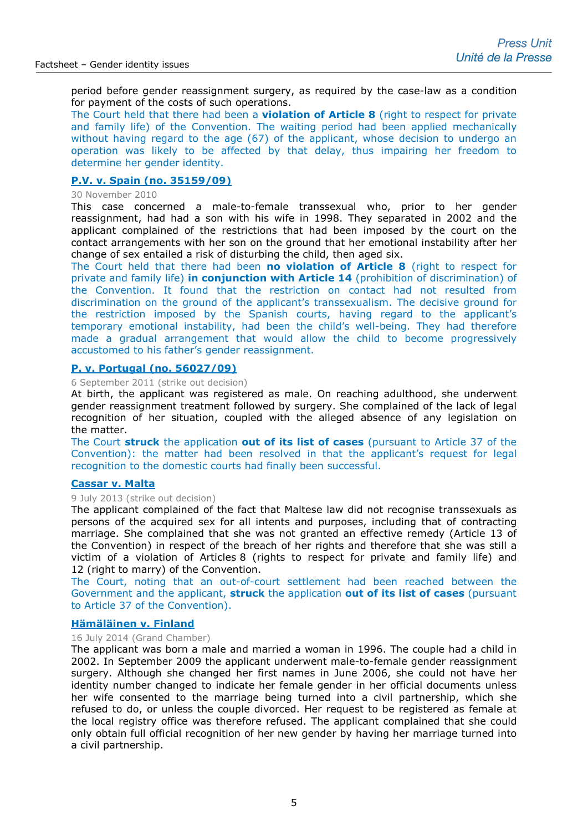period before gender reassignment surgery, as required by the case-law as a condition for payment of the costs of such operations.

The Court held that there had been a **violation of Article 8** (right to respect for private and family life) of the Convention. The waiting period had been applied mechanically without having regard to the age (67) of the applicant, whose decision to undergo an operation was likely to be affected by that delay, thus impairing her freedom to determine her gender identity.

## **P.V. v. Spain [\(no. 35159/09\)](http://hudoc.echr.coe.int/sites/eng/pages/search.aspx?i=003-3353755-3754421)**

#### 30 November 2010

This case concerned a male-to-female transsexual who, prior to her gender reassignment, had had a son with his wife in 1998. They separated in 2002 and the applicant complained of the restrictions that had been imposed by the court on the contact arrangements with her son on the ground that her emotional instability after her change of sex entailed a risk of disturbing the child, then aged six.

The Court held that there had been **no violation of Article 8** (right to respect for private and family life) **in conjunction with Article 14** (prohibition of discrimination) of the Convention. It found that the restriction on contact had not resulted from discrimination on the ground of the applicant's transsexualism. The decisive ground for the restriction imposed by the Spanish courts, having regard to the applicant's temporary emotional instability, had been the child's well-being. They had therefore made a gradual arrangement that would allow the child to become progressively accustomed to his father's gender reassignment.

#### **P. v. Portugal [\(no. 56027/09\)](http://cmiskp.echr.coe.int/tkp197/view.asp?action=html&documentId=892251&portal=hbkm&source=externalbydocnumber&table=F69A27FD8FB86142BF01C1166DEA398649)**

#### 6 September 2011 (strike out decision)

At birth, the applicant was registered as male. On reaching adulthood, she underwent gender reassignment treatment followed by surgery. She complained of the lack of legal recognition of her situation, coupled with the alleged absence of any legislation on the matter.

The Court **struck** the application **out of its list of cases** (pursuant to Article 37 of the Convention): the matter had been resolved in that the applicant's request for legal recognition to the domestic courts had finally been successful.

#### **[Cassar v. Malta](http://hudoc.echr.coe.int/sites/eng/pages/search.aspx?i=001-123392)**

#### 9 July 2013 (strike out decision)

The applicant complained of the fact that Maltese law did not recognise transsexuals as persons of the acquired sex for all intents and purposes, including that of contracting marriage. She complained that she was not granted an effective remedy (Article 13 of the Convention) in respect of the breach of her rights and therefore that she was still a victim of a violation of Articles 8 (rights to respect for private and family life) and 12 (right to marry) of the Convention.

The Court, noting that an out-of-court settlement had been reached between the Government and the applicant, **struck** the application **out of its list of cases** (pursuant to Article 37 of the Convention).

#### **[Hämäläinen v. Finland](http://hudoc.echr.coe.int/sites/eng-press/pages/search.aspx?i=003-4821870-5880860)**

#### 16 July 2014 (Grand Chamber)

The applicant was born a male and married a woman in 1996. The couple had a child in 2002. In September 2009 the applicant underwent male-to-female gender reassignment surgery. Although she changed her first names in June 2006, she could not have her identity number changed to indicate her female gender in her official documents unless her wife consented to the marriage being turned into a civil partnership, which she refused to do, or unless the couple divorced. Her request to be registered as female at the local registry office was therefore refused. The applicant complained that she could only obtain full official recognition of her new gender by having her marriage turned into a civil partnership.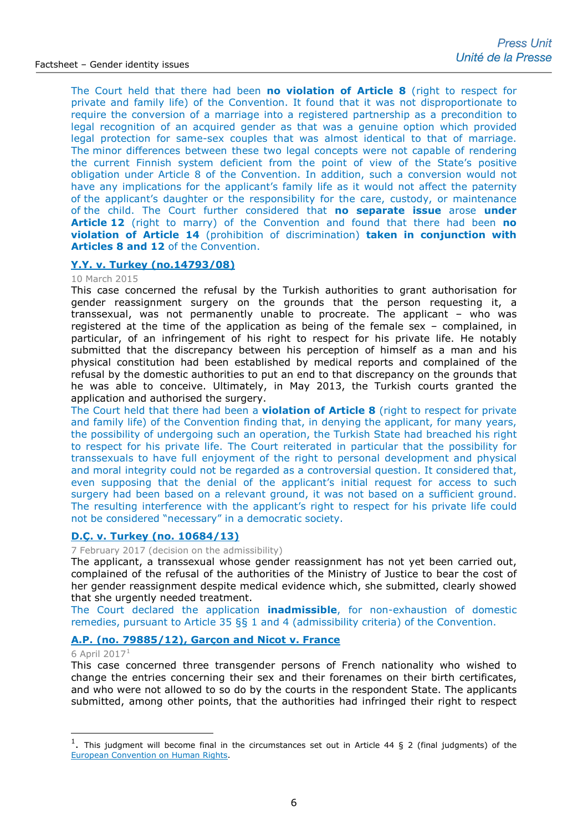The Court held that there had been **no violation of Article 8** (right to respect for private and family life) of the Convention. It found that it was not disproportionate to require the conversion of a marriage into a registered partnership as a precondition to legal recognition of an acquired gender as that was a genuine option which provided legal protection for same-sex couples that was almost identical to that of marriage. The minor differences between these two legal concepts were not capable of rendering the current Finnish system deficient from the point of view of the State's positive obligation under Article 8 of the Convention. In addition, such a conversion would not have any implications for the applicant's family life as it would not affect the paternity of the applicant's daughter or the responsibility for the care, custody, or maintenance of the child. The Court further considered that **no separate issue** arose **under Article 12** (right to marry) of the Convention and found that there had been **no violation of Article 14** (prohibition of discrimination) **taken in conjunction with Articles 8 and 12** of the Convention.

# **[Y.Y. v. Turkey \(no.14793/08\)](http://hudoc.echr.coe.int/sites/eng-press/pages/search.aspx?i=003-5032376-6183620)**

#### 10 March 2015

This case concerned the refusal by the Turkish authorities to grant authorisation for gender reassignment surgery on the grounds that the person requesting it, a transsexual, was not permanently unable to procreate. The applicant – who was registered at the time of the application as being of the female sex – complained, in particular, of an infringement of his right to respect for his private life. He notably submitted that the discrepancy between his perception of himself as a man and his physical constitution had been established by medical reports and complained of the refusal by the domestic authorities to put an end to that discrepancy on the grounds that he was able to conceive. Ultimately, in May 2013, the Turkish courts granted the application and authorised the surgery.

The Court held that there had been a **violation of Article 8** (right to respect for private and family life) of the Convention finding that, in denying the applicant, for many years, the possibility of undergoing such an operation, the Turkish State had breached his right to respect for his private life. The Court reiterated in particular that the possibility for transsexuals to have full enjoyment of the right to personal development and physical and moral integrity could not be regarded as a controversial question. It considered that, even supposing that the denial of the applicant's initial request for access to such surgery had been based on a relevant ground, it was not based on a sufficient ground. The resulting interference with the applicant's right to respect for his private life could not be considered "necessary" in a democratic society.

# **[D.Ç. v. Turkey](http://hudoc.echr.coe.int/eng?i=001-172142) (no. 10684/13)**

7 February 2017 (decision on the admissibility)

The applicant, a transsexual whose gender reassignment has not yet been carried out, complained of the refusal of the authorities of the Ministry of Justice to bear the cost of her gender reassignment despite medical evidence which, she submitted, clearly showed that she urgently needed treatment.

The Court declared the application **inadmissible**, for non-exhaustion of domestic remedies, pursuant to Article 35 §§ 1 and 4 (admissibility criteria) of the Convention.

#### **A.P. (no. [79885/12\), Garçon and](http://hudoc.echr.coe.int/eng-press?i=003-5677681-7200217) Nicot v. France**

#### 6 April  $2017<sup>1</sup>$  $2017<sup>1</sup>$  $2017<sup>1</sup>$

-

This case concerned three transgender persons of French nationality who wished to change the entries concerning their sex and their forenames on their birth certificates, and who were not allowed to so do by the courts in the respondent State. The applicants submitted, among other points, that the authorities had infringed their right to respect

<span id="page-5-0"></span><sup>&</sup>lt;sup>1</sup>. This judgment will become final in the circumstances set out in Article 44 § 2 (final judgments) of the [European Convention on Human Rights.](http://www.echr.coe.int/Documents/Convention_ENG.pdf)